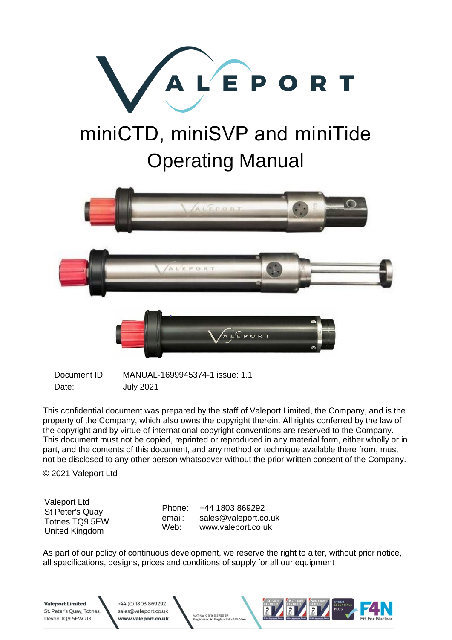

# miniCTD, miniSVP and miniTide Operating Manual



Document ID MANUAL-1699945374-1 issue: 1.1 Date: **July 2021** 

+44 (0) 1803 869292

sales@valeport.co.uk

ww.valeport.co.u<mark>k</mark>

This confidential document was prepared by the staff of Valeport Limited, the Company, and is the property of the Company, which also owns the copyright therein. All rights conferred by the law of the copyright and by virtue of international copyright conventions are reserved to the Company. This document must not be copied, reprinted or reproduced in any material form, either wholly or in part, and the contents of this document, and any method or technique available there from, must not be disclosed to any other person whatsoever without the prior written consent of the Company.

© 2021 Valeport Ltd

Valeport Ltd St Peter's Quay Totnes TQ9 5EW United Kingdom

**Valeport Limited** 

St. Peter's Quay, Totnes

Devon TQ9 5EW UK

Phone: email: Web: +44 1803 869292

VAT No: GB 165 8753 67

ed in England No: 195

sales@valeport.co.uk www.valeport.co.uk

As part of our policy of continuous development, we reserve the right to alter, without prior notice, all specifications, designs, prices and conditions of supply for all our equipment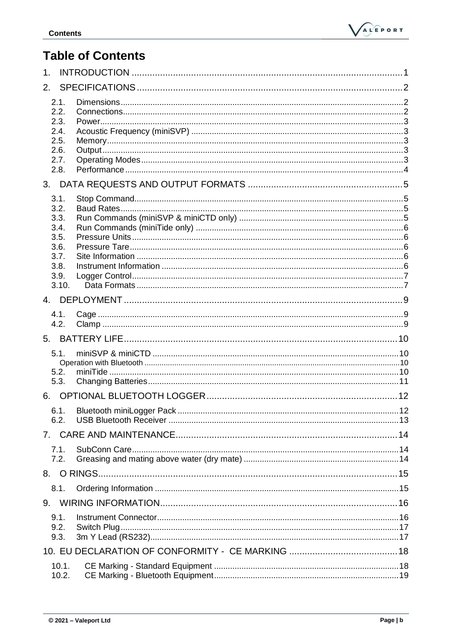

## **Table of Contents**

| $\mathbf 1$ .  |                |  |  |  |  |
|----------------|----------------|--|--|--|--|
| 2.             |                |  |  |  |  |
|                | 2.1.           |  |  |  |  |
|                | 2.2.           |  |  |  |  |
|                | 2.3.<br>2.4.   |  |  |  |  |
|                | 2.5.           |  |  |  |  |
|                | 2.6.           |  |  |  |  |
|                | 2.7.<br>2.8.   |  |  |  |  |
| 3 <sub>1</sub> |                |  |  |  |  |
|                | 3.1.           |  |  |  |  |
|                | 3.2.           |  |  |  |  |
|                | 3.3.           |  |  |  |  |
|                | 3.4.           |  |  |  |  |
|                | 3.5.<br>3.6.   |  |  |  |  |
|                | 3.7.           |  |  |  |  |
|                | 3.8.           |  |  |  |  |
|                | 3.9.           |  |  |  |  |
|                | 3.10.          |  |  |  |  |
| $\overline{4}$ |                |  |  |  |  |
|                | 4.1.<br>4.2.   |  |  |  |  |
| 5.             |                |  |  |  |  |
|                | 5.1.           |  |  |  |  |
|                |                |  |  |  |  |
|                | 5.2.           |  |  |  |  |
|                | 5.3.           |  |  |  |  |
| 6.             |                |  |  |  |  |
|                | 6.1.           |  |  |  |  |
|                | 6.2.           |  |  |  |  |
|                |                |  |  |  |  |
|                | 7.1.<br>7.2.   |  |  |  |  |
|                |                |  |  |  |  |
|                |                |  |  |  |  |
|                | 8.1.           |  |  |  |  |
| 9.             |                |  |  |  |  |
|                | 9.1.           |  |  |  |  |
|                | 9.2.<br>9.3.   |  |  |  |  |
|                |                |  |  |  |  |
|                |                |  |  |  |  |
|                | 10.1.<br>10.2. |  |  |  |  |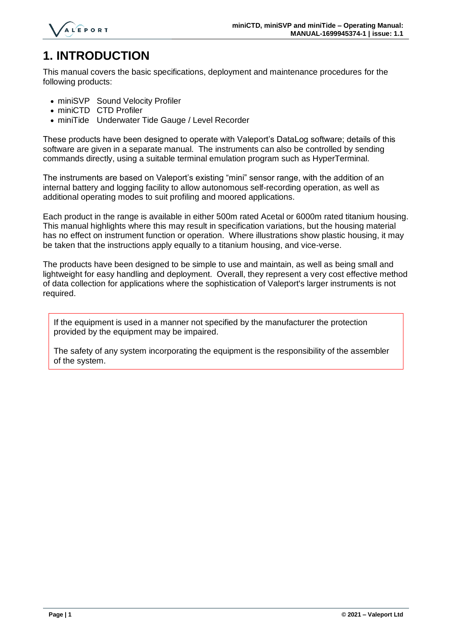

# <span id="page-2-0"></span>**1. INTRODUCTION**

This manual covers the basic specifications, deployment and maintenance procedures for the following products:

- miniSVP Sound Velocity Profiler
- miniCTD CTD Profiler
- miniTide Underwater Tide Gauge / Level Recorder

These products have been designed to operate with Valeport's DataLog software; details of this software are given in a separate manual. The instruments can also be controlled by sending commands directly, using a suitable terminal emulation program such as HyperTerminal.

The instruments are based on Valeport's existing "mini" sensor range, with the addition of an internal battery and logging facility to allow autonomous self-recording operation, as well as additional operating modes to suit profiling and moored applications.

Each product in the range is available in either 500m rated Acetal or 6000m rated titanium housing. This manual highlights where this may result in specification variations, but the housing material has no effect on instrument function or operation. Where illustrations show plastic housing, it may be taken that the instructions apply equally to a titanium housing, and vice-verse.

The products have been designed to be simple to use and maintain, as well as being small and lightweight for easy handling and deployment. Overall, they represent a very cost effective method of data collection for applications where the sophistication of Valeport's larger instruments is not required.

If the equipment is used in a manner not specified by the manufacturer the protection provided by the equipment may be impaired.

The safety of any system incorporating the equipment is the responsibility of the assembler of the system.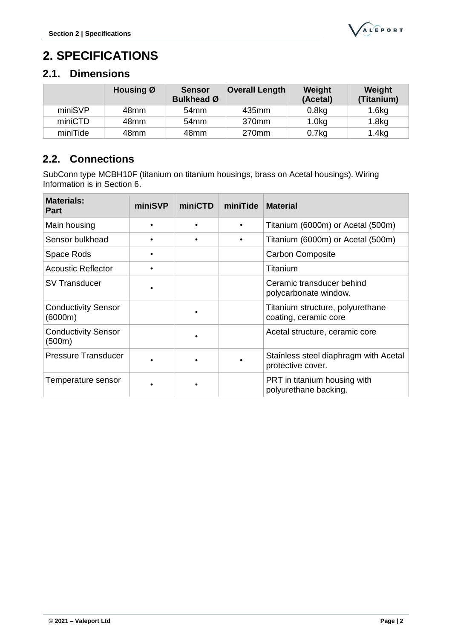# <span id="page-3-0"></span>**2. SPECIFICATIONS**

## <span id="page-3-1"></span>**2.1. Dimensions**

|          | Housing Ø | <b>Sensor</b><br><b>Bulkhead Ø</b> | <b>Overall Length</b> | Weight<br>(Acetal) | Weight<br>(Titanium) |
|----------|-----------|------------------------------------|-----------------------|--------------------|----------------------|
| miniSVP  | 48mm      | 54 <sub>mm</sub>                   | 435mm                 | 0.8 <sub>kg</sub>  | 1.6kg                |
| miniCTD  | 48mm      | 54mm                               | 370mm                 | 1.0 <sub>k</sub> g | 1.8 <sub>kg</sub>    |
| miniTide | 48mm      | 48mm                               | 270mm                 | 0.7kg              | 1.4kg                |

#### <span id="page-3-2"></span>**2.2. Connections**

SubConn type MCBH10F (titanium on titanium housings, brass on Acetal housings). Wiring Information is in Section 6.

| <b>Materials:</b><br><b>Part</b>      | miniSVP | miniCTD | miniTide  | <b>Material</b>                                            |
|---------------------------------------|---------|---------|-----------|------------------------------------------------------------|
| Main housing                          |         |         | ٠         | Titanium (6000m) or Acetal (500m)                          |
| Sensor bulkhead                       |         |         | $\bullet$ | Titanium (6000m) or Acetal (500m)                          |
| Space Rods                            |         |         |           | <b>Carbon Composite</b>                                    |
| <b>Acoustic Reflector</b>             |         |         |           | Titanium                                                   |
| <b>SV Transducer</b>                  |         |         |           | Ceramic transducer behind<br>polycarbonate window.         |
| <b>Conductivity Sensor</b><br>(6000m) |         |         |           | Titanium structure, polyurethane<br>coating, ceramic core  |
| <b>Conductivity Sensor</b><br>(500m)  |         |         |           | Acetal structure, ceramic core                             |
| <b>Pressure Transducer</b>            |         |         |           | Stainless steel diaphragm with Acetal<br>protective cover. |
| Temperature sensor                    |         |         |           | PRT in titanium housing with<br>polyurethane backing.      |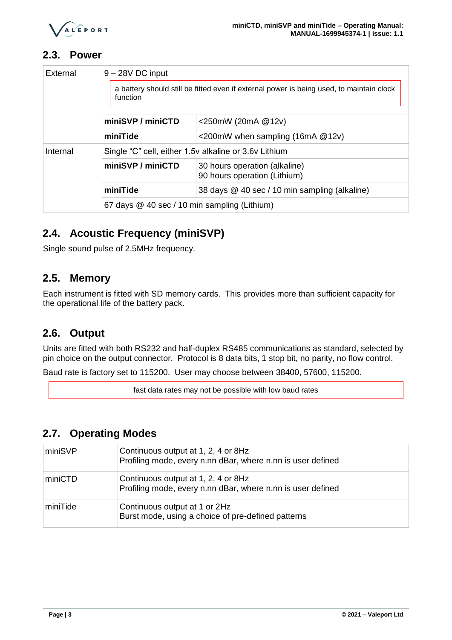

#### <span id="page-4-0"></span>**2.3. Power**

| External | $9 - 28V$ DC input                                                                                   |                                                               |  |
|----------|------------------------------------------------------------------------------------------------------|---------------------------------------------------------------|--|
|          | a battery should still be fitted even if external power is being used, to maintain clock<br>function |                                                               |  |
|          | miniSVP / miniCTD                                                                                    | <250mW (20mA $@12v$ )                                         |  |
|          | miniTide                                                                                             | $\leq$ 200mW when sampling (16mA @12v)                        |  |
| Internal | Single "C" cell, either 1.5v alkaline or 3.6v Lithium                                                |                                                               |  |
|          | miniSVP / miniCTD                                                                                    | 30 hours operation (alkaline)<br>90 hours operation (Lithium) |  |
|          | miniTide                                                                                             | 38 days @ 40 sec / 10 min sampling (alkaline)                 |  |
|          | 67 days @ 40 sec / 10 min sampling (Lithium)                                                         |                                                               |  |

#### <span id="page-4-1"></span>**2.4. Acoustic Frequency (miniSVP)**

Single sound pulse of 2.5MHz frequency.

#### <span id="page-4-2"></span>**2.5. Memory**

Each instrument is fitted with SD memory cards. This provides more than sufficient capacity for the operational life of the battery pack.

#### <span id="page-4-3"></span>**2.6. Output**

Units are fitted with both RS232 and half-duplex RS485 communications as standard, selected by pin choice on the output connector. Protocol is 8 data bits, 1 stop bit, no parity, no flow control.

Baud rate is factory set to 115200. User may choose between 38400, 57600, 115200.

fast data rates may not be possible with low baud rates

#### <span id="page-4-4"></span>**2.7. Operating Modes**

| miniSVP  | Continuous output at 1, 2, 4 or 8Hz<br>Profiling mode, every n.nn dBar, where n.nn is user defined |
|----------|----------------------------------------------------------------------------------------------------|
| miniCTD  | Continuous output at 1, 2, 4 or 8Hz<br>Profiling mode, every n.nn dBar, where n.nn is user defined |
| miniTide | Continuous output at 1 or 2Hz<br>Burst mode, using a choice of pre-defined patterns                |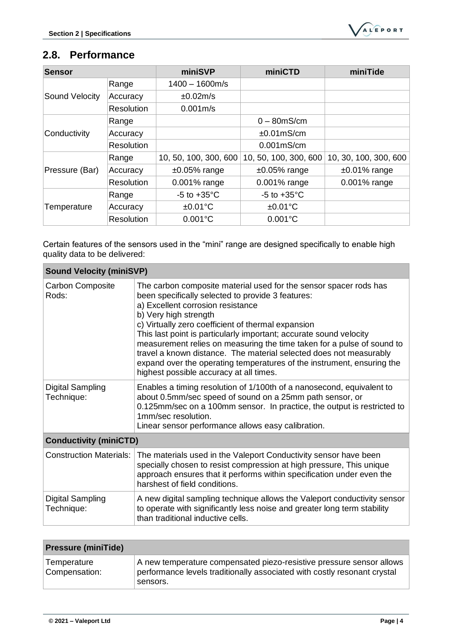## <span id="page-5-0"></span>**2.8. Performance**

| <b>Sensor</b>         |                   | miniSVP                 | miniCTD                 | miniTide              |
|-----------------------|-------------------|-------------------------|-------------------------|-----------------------|
|                       | Range             | $1400 - 1600m/s$        |                         |                       |
| <b>Sound Velocity</b> | Accuracy          | ±0.02m/s                |                         |                       |
|                       | <b>Resolution</b> | 0.001 <sub>m</sub> /s   |                         |                       |
|                       | Range             |                         | $0 - 80$ mS/cm          |                       |
| Conductivity          | Accuracy          |                         | $±0.01$ mS/cm           |                       |
|                       | <b>Resolution</b> |                         | $0.001$ mS/cm           |                       |
|                       | Range             | 10, 50, 100, 300, 600   | 10, 50, 100, 300, 600   | 10, 30, 100, 300, 600 |
| Pressure (Bar)        | Accuracy          | $±0.05\%$ range         | $±0.05\%$ range         | $±0.01\%$ range       |
|                       | <b>Resolution</b> | 0.001% range            | 0.001% range            | 0.001% range          |
|                       | Range             | $-5$ to $+35^{\circ}$ C | $-5$ to $+35^{\circ}$ C |                       |
| Temperature           | Accuracy          | $±0.01$ °C              | $±0.01$ °C              |                       |
|                       | Resolution        | $0.001^{\circ}C$        | $0.001^{\circ}C$        |                       |

Certain features of the sensors used in the "mini" range are designed specifically to enable high quality data to be delivered:

| <b>Sound Velocity (miniSVP)</b>  |                                                                                                                                                                                                                                                                                                                                                                                                                                                                                                                                                                                       |  |  |
|----------------------------------|---------------------------------------------------------------------------------------------------------------------------------------------------------------------------------------------------------------------------------------------------------------------------------------------------------------------------------------------------------------------------------------------------------------------------------------------------------------------------------------------------------------------------------------------------------------------------------------|--|--|
| <b>Carbon Composite</b><br>Rods: | The carbon composite material used for the sensor spacer rods has<br>been specifically selected to provide 3 features:<br>a) Excellent corrosion resistance<br>b) Very high strength<br>c) Virtually zero coefficient of thermal expansion<br>This last point is particularly important; accurate sound velocity<br>measurement relies on measuring the time taken for a pulse of sound to<br>travel a known distance. The material selected does not measurably<br>expand over the operating temperatures of the instrument, ensuring the<br>highest possible accuracy at all times. |  |  |
| Digital Sampling<br>Technique:   | Enables a timing resolution of 1/100th of a nanosecond, equivalent to<br>about 0.5mm/sec speed of sound on a 25mm path sensor, or<br>0.125mm/sec on a 100mm sensor. In practice, the output is restricted to<br>1mm/sec resolution.<br>Linear sensor performance allows easy calibration.                                                                                                                                                                                                                                                                                             |  |  |
| <b>Conductivity (miniCTD)</b>    |                                                                                                                                                                                                                                                                                                                                                                                                                                                                                                                                                                                       |  |  |
| <b>Construction Materials:</b>   | The materials used in the Valeport Conductivity sensor have been<br>specially chosen to resist compression at high pressure, This unique<br>approach ensures that it performs within specification under even the<br>harshest of field conditions.                                                                                                                                                                                                                                                                                                                                    |  |  |
| Digital Sampling<br>Technique:   | A new digital sampling technique allows the Valeport conductivity sensor<br>to operate with significantly less noise and greater long term stability<br>than traditional inductive cells.                                                                                                                                                                                                                                                                                                                                                                                             |  |  |

| <b>Pressure (miniTide)</b>   |                                                                                                                                                              |  |  |
|------------------------------|--------------------------------------------------------------------------------------------------------------------------------------------------------------|--|--|
| Temperature<br>Compensation: | A new temperature compensated piezo-resistive pressure sensor allows<br>performance levels traditionally associated with costly resonant crystal<br>sensors. |  |  |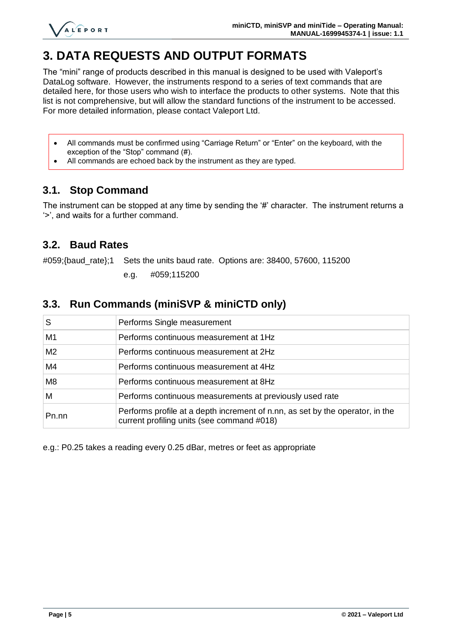

## <span id="page-6-0"></span>**3. DATA REQUESTS AND OUTPUT FORMATS**

The "mini" range of products described in this manual is designed to be used with Valeport's DataLog software. However, the instruments respond to a series of text commands that are detailed here, for those users who wish to interface the products to other systems. Note that this list is not comprehensive, but will allow the standard functions of the instrument to be accessed. For more detailed information, please contact Valeport Ltd.

- All commands must be confirmed using "Carriage Return" or "Enter" on the keyboard, with the exception of the "Stop" command (#).
- All commands are echoed back by the instrument as they are typed.

#### <span id="page-6-1"></span>**3.1. Stop Command**

The instrument can be stopped at any time by sending the '#' character. The instrument returns a '>', and waits for a further command.

#### <span id="page-6-2"></span>**3.2. Baud Rates**

#059;{baud\_rate};1 Sets the units baud rate. Options are: 38400, 57600, 115200

e.g. #059;115200

#### <span id="page-6-3"></span>**3.3. Run Commands (miniSVP & miniCTD only)**

| S              | Performs Single measurement                                                                                                 |
|----------------|-----------------------------------------------------------------------------------------------------------------------------|
| M1             | Performs continuous measurement at 1Hz                                                                                      |
| M <sub>2</sub> | Performs continuous measurement at 2Hz                                                                                      |
| M4             | Performs continuous measurement at 4Hz                                                                                      |
| M <sub>8</sub> | Performs continuous measurement at 8Hz                                                                                      |
| м              | Performs continuous measurements at previously used rate                                                                    |
| Pn.nn          | Performs profile at a depth increment of n.nn, as set by the operator, in the<br>current profiling units (see command #018) |

e.g.: P0.25 takes a reading every 0.25 dBar, metres or feet as appropriate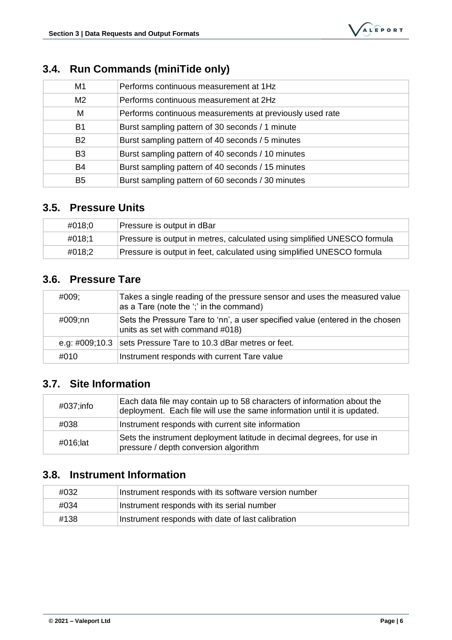| M1             | Performs continuous measurement at 1Hz                   |
|----------------|----------------------------------------------------------|
| M <sub>2</sub> | Performs continuous measurement at 2Hz                   |
| M              | Performs continuous measurements at previously used rate |
| B1             | Burst sampling pattern of 30 seconds / 1 minute          |
| <b>B2</b>      | Burst sampling pattern of 40 seconds / 5 minutes         |
| B <sub>3</sub> | Burst sampling pattern of 40 seconds / 10 minutes        |
| B4             | Burst sampling pattern of 40 seconds / 15 minutes        |
| B <sub>5</sub> | Burst sampling pattern of 60 seconds / 30 minutes        |

#### <span id="page-7-0"></span>**3.4. Run Commands (miniTide only)**

#### <span id="page-7-1"></span>**3.5. Pressure Units**

| #018:0 | Pressure is output in dBar                                               |
|--------|--------------------------------------------------------------------------|
| #018:1 | Pressure is output in metres, calculated using simplified UNESCO formula |
| #018:2 | Pressure is output in feet, calculated using simplified UNESCO formula   |

#### <span id="page-7-2"></span>**3.6. Pressure Tare**

| #009;   | Takes a single reading of the pressure sensor and uses the measured value<br>as a Tare (note the ';' in the command) |
|---------|----------------------------------------------------------------------------------------------------------------------|
| #009;nn | Sets the Pressure Tare to 'nn', a user specified value (entered in the chosen<br>units as set with command #018)     |
|         | e.g: #009;10.3   sets Pressure Tare to 10.3 dBar metres or feet.                                                     |
| #010    | Instrument responds with current Tare value                                                                          |

#### <span id="page-7-3"></span>**3.7. Site Information**

| #037;info | Each data file may contain up to 58 characters of information about the<br>deployment. Each file will use the same information until it is updated. |
|-----------|-----------------------------------------------------------------------------------------------------------------------------------------------------|
| #038      | Instrument responds with current site information                                                                                                   |
| #016;lat  | Sets the instrument deployment latitude in decimal degrees, for use in<br>pressure / depth conversion algorithm                                     |

## <span id="page-7-4"></span>**3.8. Instrument Information**

| #032 | Instrument responds with its software version number |
|------|------------------------------------------------------|
| #034 | Instrument responds with its serial number           |
| #138 | Instrument responds with date of last calibration    |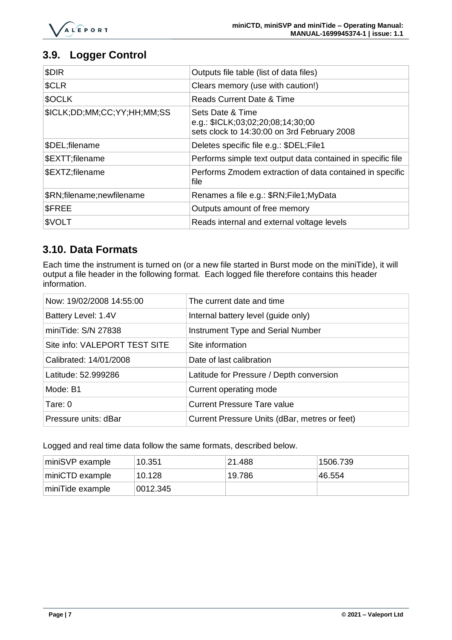#### <span id="page-8-0"></span>**3.9. Logger Control**

| \$DIR                       | Outputs file table (list of data files)                                                              |
|-----------------------------|------------------------------------------------------------------------------------------------------|
| <b>\$CLR</b>                | Clears memory (use with caution!)                                                                    |
| \$OCLK                      | Reads Current Date & Time                                                                            |
| \$ICLK;DD;MM;CC;YY;HH;MM;SS | Sets Date & Time<br>e.g.: \$ICLK;03;02;20;08;14;30;00<br>sets clock to 14:30:00 on 3rd February 2008 |
| \$DEL;filename              | Deletes specific file e.g.: \$DEL;File1                                                              |
| \$EXTT;filename             | Performs simple text output data contained in specific file                                          |
| \$EXTZ;filename             | Performs Zmodem extraction of data contained in specific<br>file                                     |
| \$RN;filename;newfilename   | Renames a file e.g.: \$RN;File1; MyData                                                              |
| <b>SFREE</b>                | Outputs amount of free memory                                                                        |
| \$VOLT                      | Reads internal and external voltage levels                                                           |

#### <span id="page-8-1"></span>**3.10. Data Formats**

Each time the instrument is turned on (or a new file started in Burst mode on the miniTide), it will output a file header in the following format. Each logged file therefore contains this header information.

| Now: 19/02/2008 14:55:00      | The current date and time                     |
|-------------------------------|-----------------------------------------------|
| Battery Level: 1.4V           | Internal battery level (guide only)           |
| miniTide: S/N 27838           | Instrument Type and Serial Number             |
| Site info: VALEPORT TEST SITE | Site information                              |
| Calibrated: 14/01/2008        | Date of last calibration                      |
| Latitude: 52.999286           | Latitude for Pressure / Depth conversion      |
| Mode: B1                      | Current operating mode                        |
| Tare: $0$                     | <b>Current Pressure Tare value</b>            |
| Pressure units: dBar          | Current Pressure Units (dBar, metres or feet) |

Logged and real time data follow the same formats, described below.

| miniSVP example  | 10.351   | 21.488  | 1506.739 |
|------------------|----------|---------|----------|
| miniCTD example  | 10.128   | 19.786⊹ | 46.554   |
| miniTide example | 0012.345 |         |          |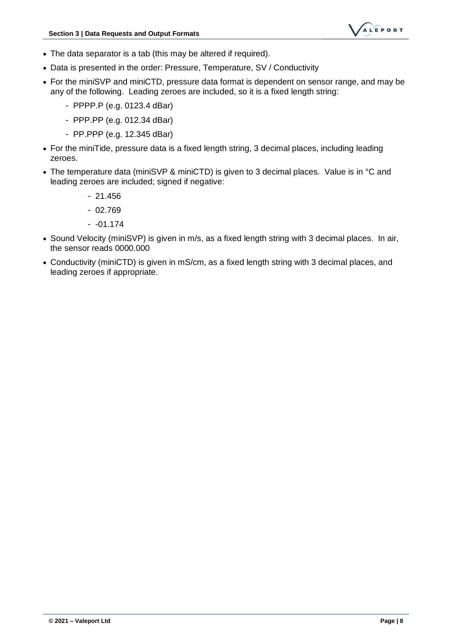

- The data separator is a tab (this may be altered if required).
- Data is presented in the order: Pressure, Temperature, SV / Conductivity
- For the miniSVP and miniCTD, pressure data format is dependent on sensor range, and may be any of the following. Leading zeroes are included, so it is a fixed length string:
	- PPPP.P (e.g. 0123.4 dBar)
	- PPP.PP (e.g. 012.34 dBar)
	- PP.PPP (e.g. 12.345 dBar)
- For the miniTide, pressure data is a fixed length string, 3 decimal places, including leading zeroes.
- The temperature data (miniSVP & miniCTD) is given to 3 decimal places. Value is in °C and leading zeroes are included; signed if negative:
	- 21.456
	- 02.769
	- $-01.174$
- Sound Velocity (miniSVP) is given in m/s, as a fixed length string with 3 decimal places. In air, the sensor reads 0000.000
- Conductivity (miniCTD) is given in mS/cm, as a fixed length string with 3 decimal places, and leading zeroes if appropriate.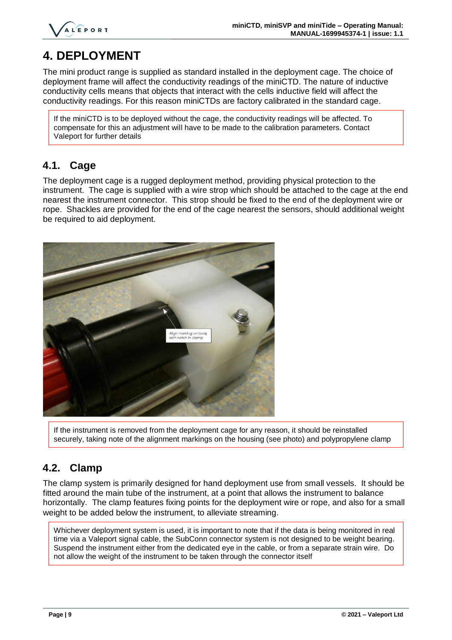

# <span id="page-10-0"></span>**4. DEPLOYMENT**

The mini product range is supplied as standard installed in the deployment cage. The choice of deployment frame will affect the conductivity readings of the miniCTD. The nature of inductive conductivity cells means that objects that interact with the cells inductive field will affect the conductivity readings. For this reason miniCTDs are factory calibrated in the standard cage.

If the miniCTD is to be deployed without the cage, the conductivity readings will be affected. To compensate for this an adjustment will have to be made to the calibration parameters. Contact Valeport for further details

#### <span id="page-10-1"></span>**4.1. Cage**

The deployment cage is a rugged deployment method, providing physical protection to the instrument. The cage is supplied with a wire strop which should be attached to the cage at the end nearest the instrument connector. This strop should be fixed to the end of the deployment wire or rope. Shackles are provided for the end of the cage nearest the sensors, should additional weight be required to aid deployment.



If the instrument is removed from the deployment cage for any reason, it should be reinstalled securely, taking note of the alignment markings on the housing (see photo) and polypropylene clamp

#### <span id="page-10-2"></span>**4.2. Clamp**

The clamp system is primarily designed for hand deployment use from small vessels. It should be fitted around the main tube of the instrument, at a point that allows the instrument to balance horizontally. The clamp features fixing points for the deployment wire or rope, and also for a small weight to be added below the instrument, to alleviate streaming.

Whichever deployment system is used, it is important to note that if the data is being monitored in real time via a Valeport signal cable, the SubConn connector system is not designed to be weight bearing. Suspend the instrument either from the dedicated eye in the cable, or from a separate strain wire. Do not allow the weight of the instrument to be taken through the connector itself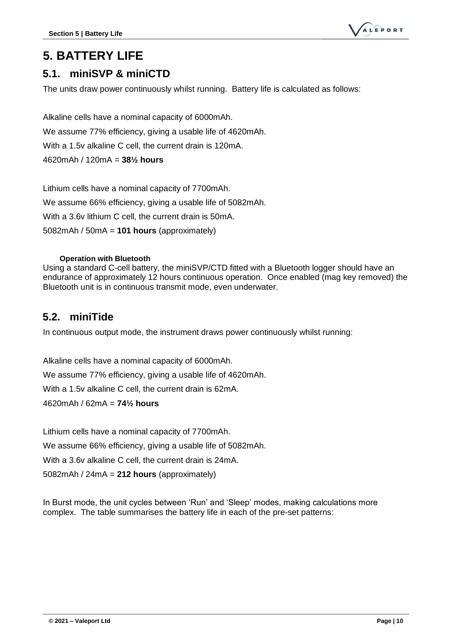

## <span id="page-11-0"></span>**5. BATTERY LIFE**

#### <span id="page-11-1"></span>**5.1. miniSVP & miniCTD**

The units draw power continuously whilst running. Battery life is calculated as follows:

Alkaline cells have a nominal capacity of 6000mAh. We assume 77% efficiency, giving a usable life of 4620mAh. With a 1.5v alkaline C cell, the current drain is 120mA. 4620mAh / 120mA = **38½ hours**

Lithium cells have a nominal capacity of 7700mAh. We assume 66% efficiency, giving a usable life of 5082mAh. With a 3.6v lithium C cell, the current drain is 50mA. 5082mAh / 50mA = **101 hours** (approximately)

#### **Operation with Bluetooth**

<span id="page-11-2"></span>Using a standard C-cell battery, the miniSVP/CTD fitted with a Bluetooth logger should have an endurance of approximately 12 hours continuous operation. Once enabled (mag key removed) the Bluetooth unit is in continuous transmit mode, even underwater.

#### <span id="page-11-3"></span>**5.2. miniTide**

In continuous output mode, the instrument draws power continuously whilst running:

Alkaline cells have a nominal capacity of 6000mAh. We assume 77% efficiency, giving a usable life of 4620mAh. With a 1.5v alkaline C cell, the current drain is 62mA. 4620mAh / 62mA = **74½ hours**

Lithium cells have a nominal capacity of 7700mAh.

We assume 66% efficiency, giving a usable life of 5082mAh.

With a 3.6v alkaline C cell, the current drain is 24mA.

5082mAh / 24mA = **212 hours** (approximately)

In Burst mode, the unit cycles between 'Run' and 'Sleep' modes, making calculations more complex. The table summarises the battery life in each of the pre-set patterns: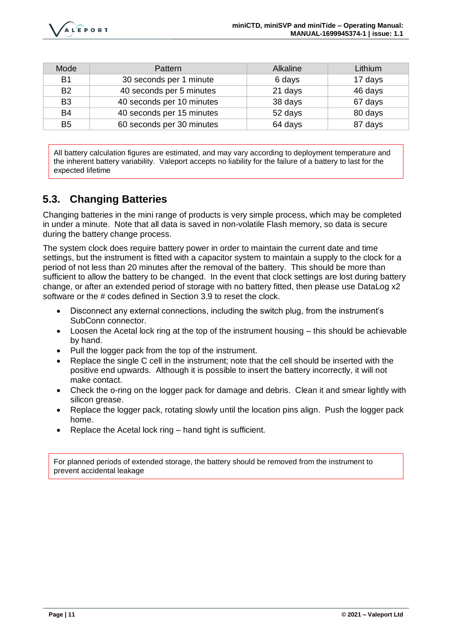| Mode           | <b>Pattern</b>            | Alkaline | Lithium |
|----------------|---------------------------|----------|---------|
| <b>B1</b>      | 30 seconds per 1 minute   | 6 days   | 17 days |
| B <sub>2</sub> | 40 seconds per 5 minutes  | 21 days  | 46 days |
| B <sub>3</sub> | 40 seconds per 10 minutes | 38 days  | 67 days |
| B4             | 40 seconds per 15 minutes | 52 days  | 80 days |
| B <sub>5</sub> | 60 seconds per 30 minutes | 64 days  | 87 days |

All battery calculation figures are estimated, and may vary according to deployment temperature and the inherent battery variability. Valeport accepts no liability for the failure of a battery to last for the expected lifetime

## <span id="page-12-0"></span>**5.3. Changing Batteries**

Changing batteries in the mini range of products is very simple process, which may be completed in under a minute. Note that all data is saved in non-volatile Flash memory, so data is secure during the battery change process.

The system clock does require battery power in order to maintain the current date and time settings, but the instrument is fitted with a capacitor system to maintain a supply to the clock for a period of not less than 20 minutes after the removal of the battery. This should be more than sufficient to allow the battery to be changed. In the event that clock settings are lost during battery change, or after an extended period of storage with no battery fitted, then please use DataLog x2 software or the # codes defined in Section 3.9 to reset the clock.

- Disconnect any external connections, including the switch plug, from the instrument's SubConn connector.
- Loosen the Acetal lock ring at the top of the instrument housing this should be achievable by hand.
- Pull the logger pack from the top of the instrument.
- Replace the single C cell in the instrument; note that the cell should be inserted with the positive end upwards. Although it is possible to insert the battery incorrectly, it will not make contact.
- Check the o-ring on the logger pack for damage and debris. Clean it and smear lightly with silicon grease.
- Replace the logger pack, rotating slowly until the location pins align. Push the logger pack home.
- Replace the Acetal lock ring hand tight is sufficient.

For planned periods of extended storage, the battery should be removed from the instrument to prevent accidental leakage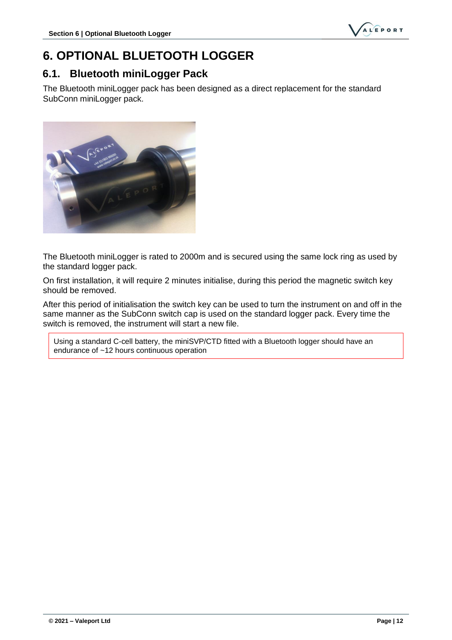

## <span id="page-13-0"></span>**6. OPTIONAL BLUETOOTH LOGGER**

#### <span id="page-13-1"></span>**6.1. Bluetooth miniLogger Pack**

The Bluetooth miniLogger pack has been designed as a direct replacement for the standard SubConn miniLogger pack.



The Bluetooth miniLogger is rated to 2000m and is secured using the same lock ring as used by the standard logger pack.

On first installation, it will require 2 minutes initialise, during this period the magnetic switch key should be removed.

After this period of initialisation the switch key can be used to turn the instrument on and off in the same manner as the SubConn switch cap is used on the standard logger pack. Every time the switch is removed, the instrument will start a new file.

Using a standard C-cell battery, the miniSVP/CTD fitted with a Bluetooth logger should have an endurance of ~12 hours continuous operation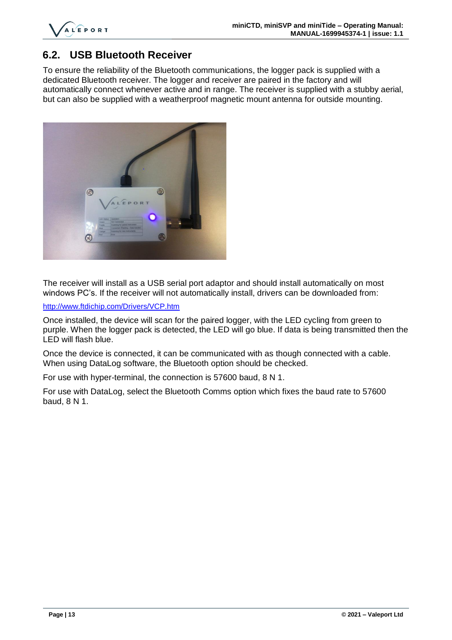

#### <span id="page-14-0"></span>**6.2. USB Bluetooth Receiver**

To ensure the reliability of the Bluetooth communications, the logger pack is supplied with a dedicated Bluetooth receiver. The logger and receiver are paired in the factory and will automatically connect whenever active and in range. The receiver is supplied with a stubby aerial, but can also be supplied with a weatherproof magnetic mount antenna for outside mounting.



The receiver will install as a USB serial port adaptor and should install automatically on most windows PC's. If the receiver will not automatically install, drivers can be downloaded from:

#### <http://www.ftdichip.com/Drivers/VCP.htm>

Once installed, the device will scan for the paired logger, with the LED cycling from green to purple. When the logger pack is detected, the LED will go blue. If data is being transmitted then the LED will flash blue.

Once the device is connected, it can be communicated with as though connected with a cable. When using DataLog software, the Bluetooth option should be checked.

For use with hyper-terminal, the connection is 57600 baud, 8 N 1.

For use with DataLog, select the Bluetooth Comms option which fixes the baud rate to 57600 baud, 8 N 1.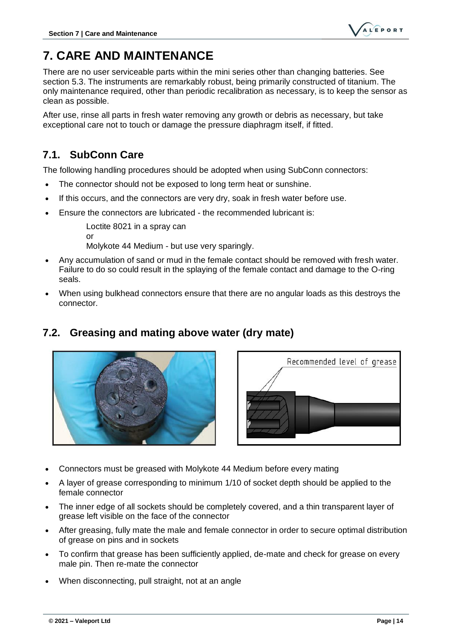# <span id="page-15-0"></span>**7. CARE AND MAINTENANCE**

There are no user serviceable parts within the mini series other than changing batteries. See section [5.3.](#page-12-0) The instruments are remarkably robust, being primarily constructed of titanium. The only maintenance required, other than periodic recalibration as necessary, is to keep the sensor as clean as possible.

After use, rinse all parts in fresh water removing any growth or debris as necessary, but take exceptional care not to touch or damage the pressure diaphragm itself, if fitted.

## <span id="page-15-1"></span>**7.1. SubConn Care**

The following handling procedures should be adopted when using SubConn connectors:

- The connector should not be exposed to long term heat or sunshine.
- If this occurs, and the connectors are very dry, soak in fresh water before use.
- Ensure the connectors are lubricated the recommended lubricant is:

Loctite 8021 in a spray can or

Molykote 44 Medium - but use very sparingly.

- Any accumulation of sand or mud in the female contact should be removed with fresh water. Failure to do so could result in the splaying of the female contact and damage to the O-ring seals.
- When using bulkhead connectors ensure that there are no angular loads as this destroys the connector.

## <span id="page-15-2"></span>**7.2. Greasing and mating above water (dry mate)**





- Connectors must be greased with Molykote 44 Medium before every mating
- A layer of grease corresponding to minimum 1/10 of socket depth should be applied to the female connector
- The inner edge of all sockets should be completely covered, and a thin transparent layer of grease left visible on the face of the connector
- After greasing, fully mate the male and female connector in order to secure optimal distribution of grease on pins and in sockets
- To confirm that grease has been sufficiently applied, de-mate and check for grease on every male pin. Then re-mate the connector
- When disconnecting, pull straight, not at an angle

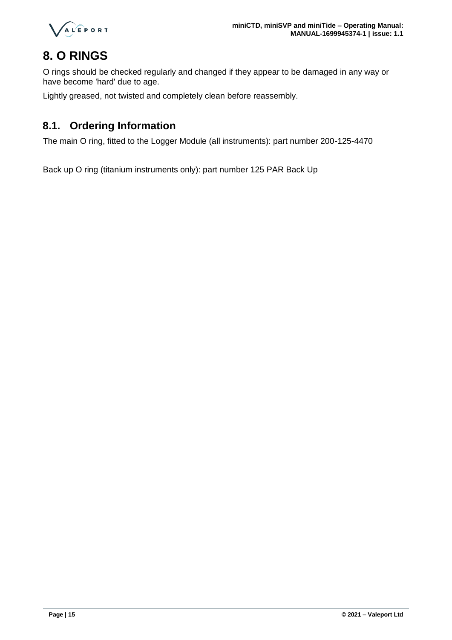

## <span id="page-16-0"></span>**8. O RINGS**

O rings should be checked regularly and changed if they appear to be damaged in any way or have become 'hard' due to age.

Lightly greased, not twisted and completely clean before reassembly.

#### <span id="page-16-1"></span>**8.1. Ordering Information**

The main O ring, fitted to the Logger Module (all instruments): part number 200-125-4470

Back up O ring (titanium instruments only): part number 125 PAR Back Up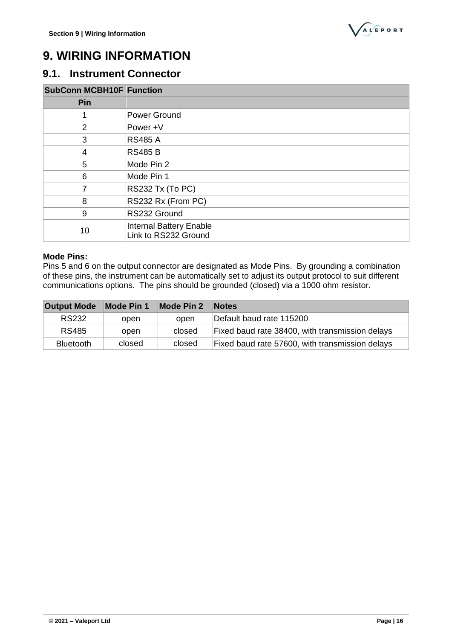

## <span id="page-17-0"></span>**9. WIRING INFORMATION**

#### <span id="page-17-1"></span>**9.1. Instrument Connector**

| <b>SubConn MCBH10F Function</b> |                                                        |
|---------------------------------|--------------------------------------------------------|
| Pin                             |                                                        |
| 1                               | Power Ground                                           |
| $\overline{2}$                  | Power +V                                               |
| 3                               | <b>RS485 A</b>                                         |
| $\overline{4}$                  | <b>RS485 B</b>                                         |
| 5                               | Mode Pin 2                                             |
| 6                               | Mode Pin 1                                             |
| 7                               | RS232 Tx (To PC)                                       |
| 8                               | RS232 Rx (From PC)                                     |
| 9                               | RS232 Ground                                           |
| 10                              | <b>Internal Battery Enable</b><br>Link to RS232 Ground |

#### **Mode Pins:**

Pins 5 and 6 on the output connector are designated as Mode Pins. By grounding a combination of these pins, the instrument can be automatically set to adjust its output protocol to suit different communications options. The pins should be grounded (closed) via a 1000 ohm resistor.

| <b>Output Mode</b> | Mode Pin 1 | <b>Mode Pin 2</b> | <b>Notes</b>                                    |
|--------------------|------------|-------------------|-------------------------------------------------|
| <b>RS232</b>       | open       | open              | Default baud rate 115200                        |
| <b>RS485</b>       | open       | closed            | Fixed baud rate 38400, with transmission delays |
| <b>Bluetooth</b>   | closed     | closed            | Fixed baud rate 57600, with transmission delays |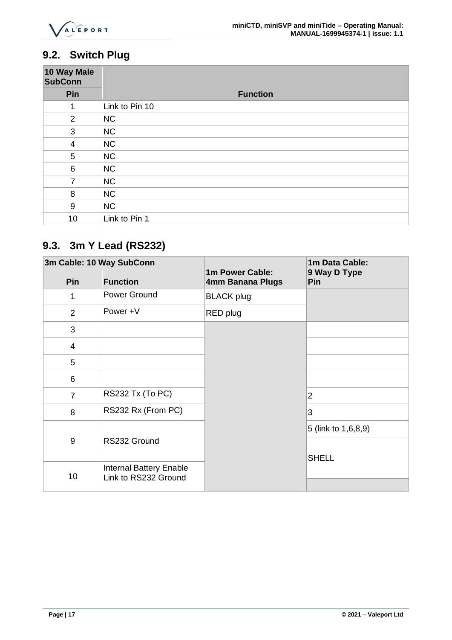

## <span id="page-18-0"></span>**9.2. Switch Plug**

| 10 Way Male<br><b>SubConn</b> |                 |
|-------------------------------|-----------------|
| Pin                           | <b>Function</b> |
| 1                             | Link to Pin 10  |
| $\overline{2}$                | <b>NC</b>       |
| 3                             | NC              |
| $\overline{4}$                | NC              |
| 5                             | NC              |
| $\,6$                         | <b>NC</b>       |
| $\overline{7}$                | <b>NC</b>       |
| 8                             | <b>NC</b>       |
| 9                             | NC              |
| 10                            | Link to Pin 1   |

## <span id="page-18-1"></span>**9.3. 3m Y Lead (RS232)**

| 3m Cable: 10 Way SubConn |                                                        |                                     | 1m Data Cable:      |
|--------------------------|--------------------------------------------------------|-------------------------------------|---------------------|
| Pin                      | <b>Function</b>                                        | 1m Power Cable:<br>4mm Banana Plugs | 9 Way D Type<br>Pin |
| 1                        | Power Ground                                           | <b>BLACK plug</b>                   |                     |
| 2                        | Power +V                                               | RED plug                            |                     |
| 3                        |                                                        |                                     |                     |
| $\overline{4}$           |                                                        |                                     |                     |
| 5                        |                                                        |                                     |                     |
| 6                        |                                                        |                                     |                     |
| $\overline{7}$           | RS232 Tx (To PC)                                       |                                     | $\overline{2}$      |
| 8                        | RS232 Rx (From PC)                                     |                                     | 3                   |
|                          |                                                        |                                     | 5 (link to 1,6,8,9) |
| 9                        | RS232 Ground                                           |                                     | <b>SHELL</b>        |
| 10                       | <b>Internal Battery Enable</b><br>Link to RS232 Ground |                                     |                     |
|                          |                                                        |                                     |                     |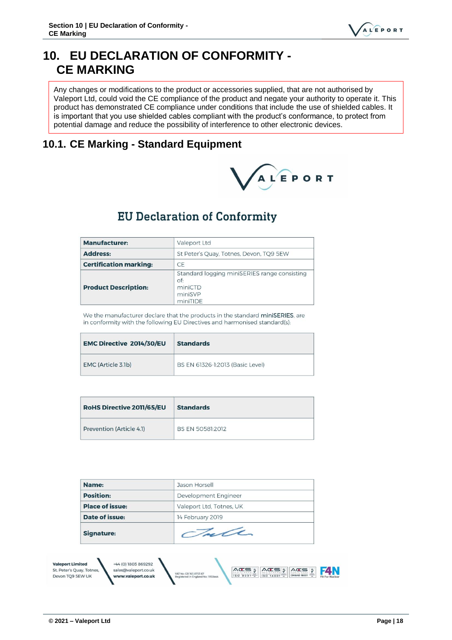## <span id="page-19-0"></span>**10. EU DECLARATION OF CONFORMITY - CE MARKING**

Any changes or modifications to the product or accessories supplied, that are not authorised by Valeport Ltd, could void the CE compliance of the product and negate your authority to operate it. This product has demonstrated CE compliance under conditions that include the use of shielded cables. It is important that you use shielded cables compliant with the product's conformance, to protect from potential damage and reduce the possibility of interference to other electronic devices.

#### <span id="page-19-1"></span>**10.1. CE Marking - Standard Equipment**



## **EU Declaration of Conformity**

| <b>Manufacturer:</b>          | Valeport Ltd                                                                          |  |
|-------------------------------|---------------------------------------------------------------------------------------|--|
| <b>Address:</b>               | St Peter's Quay, Totnes, Devon, TQ9 5EW                                               |  |
| <b>Certification marking:</b> | <b>CE</b>                                                                             |  |
| <b>Product Description:</b>   | Standard logging miniSERIES range consisting<br>of:<br>miniCTD<br>miniSVP<br>miniTIDE |  |

We the manufacturer declare that the products in the standard miniSERIES, are in conformity with the following EU Directives and harmonised standard(s):

| <b>EMC Directive 2014/30/EU</b> | <b>Standards</b>                 |
|---------------------------------|----------------------------------|
| EMC (Article 3.1b)              | BS EN 61326-1:2013 (Basic Level) |

| <b>RoHS Directive 2011/65/EU</b> | <b>Standards</b> |
|----------------------------------|------------------|
| Prevention (Article 4.1)         | BS EN 50581:2012 |

| Name:                                                |                                             | Jason Horsell                                                                                |
|------------------------------------------------------|---------------------------------------------|----------------------------------------------------------------------------------------------|
| <b>Position:</b>                                     |                                             | Development Engineer                                                                         |
| <b>Place of issue:</b>                               |                                             | Valeport Ltd, Totnes, UK                                                                     |
| Date of issue:                                       |                                             | 14 February 2019                                                                             |
|                                                      | Jule<br><b>Signature:</b>                   |                                                                                              |
| <b>Valeport Limited</b><br>St. Peter's Quay, Totnes, | +44 (0) 1803 869292<br>sales@valeport.co.uk | $VCE = 2$<br>$VCE = 2$<br>$\sqrt{\alpha}$ $\approx$<br>VAT No: CB 165 8753 67<br>OHSAS 18001 |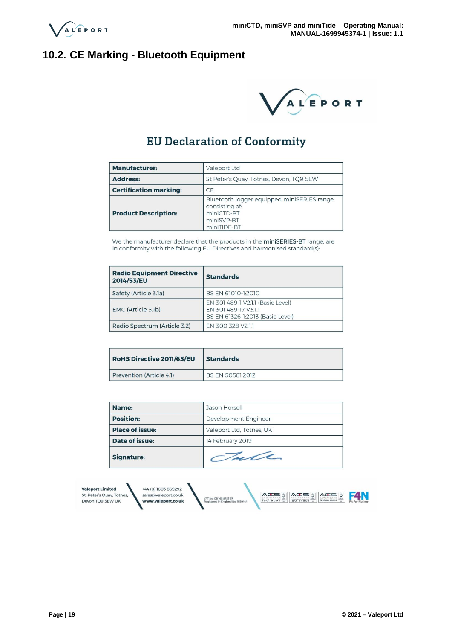

## <span id="page-20-0"></span>**10.2. CE Marking - Bluetooth Equipment**



## **EU Declaration of Conformity**

| <b>Manufacturer:</b>                                       | Valeport Ltd                                                                                            |  |  |
|------------------------------------------------------------|---------------------------------------------------------------------------------------------------------|--|--|
| <b>Address:</b><br>St Peter's Quay, Totnes, Devon, TQ9 5EW |                                                                                                         |  |  |
| <b>Certification marking:</b>                              | CE                                                                                                      |  |  |
| <b>Product Description:</b>                                | Bluetooth logger equipped miniSERIES range<br>consisting of:<br>miniCTD-BT<br>miniSVP-BT<br>miniTIDE-BT |  |  |

We the manufacturer declare that the products in the miniSERIES-BT range, are in conformity with the following EU Directives and harmonised standard(s):

| <b>Radio Equipment Directive</b><br>2014/53/EU | <b>Standards</b>                                                                              |
|------------------------------------------------|-----------------------------------------------------------------------------------------------|
| Safety (Article 3.1a)                          | BS EN 61010-1:2010                                                                            |
| EMC (Article 3.1b)                             | EN 301 489-1 V2.1.1 (Basic Level)<br>EN 301 489-17 V3.1.1<br>BS EN 61326-1:2013 (Basic Level) |
| Radio Spectrum (Article 3.2)                   | EN 300 328 V2.1.1                                                                             |

| <b>RoHS Directive 2011/65/EU</b> | <b>Standards</b> |
|----------------------------------|------------------|
| Prevention (Article 4.1)         | BS EN 50581:2012 |

| Name:                  | Jason Horsell            |  |  |
|------------------------|--------------------------|--|--|
| <b>Position:</b>       | Development Engineer     |  |  |
| <b>Place of issue:</b> | Valeport Ltd, Totnes, UK |  |  |
| Date of issue:         | 14 February 2019         |  |  |
| <b>Signature:</b>      | Tale                     |  |  |